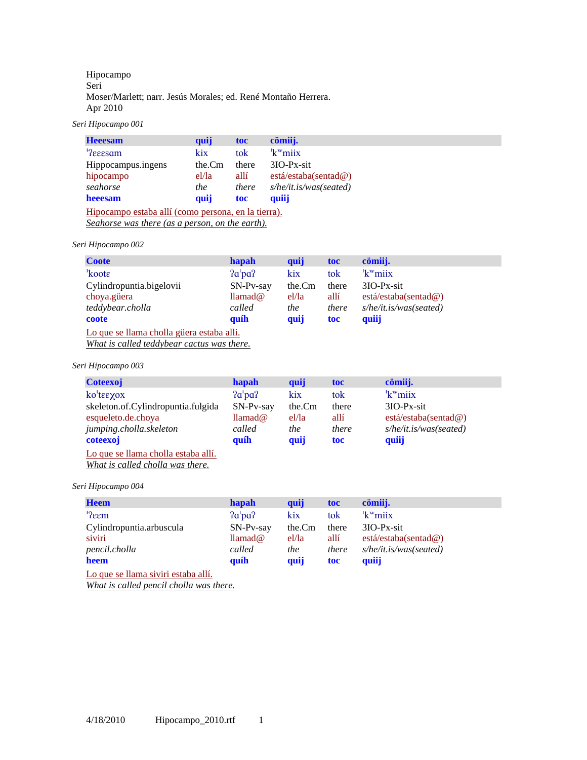# Hipocampo Seri Moser/Marlett; narr. Jesús Morales; ed. René Montaño Herrera. Apr 2010

*Seri Hipocampo 001* 

| <b>Heeesam</b>                                      | quij       | toc   | cömiij.                |  |  |  |
|-----------------------------------------------------|------------|-------|------------------------|--|--|--|
| <sup>1</sup> ?eeesam                                | kix        | tok   | $k^w$ miix             |  |  |  |
| Hippocampus.ingens                                  | the.Cm     | there | $3IO-Px-sit$           |  |  |  |
| hipocampo                                           | el/la      | allí  | está/estaba(sentad@)   |  |  |  |
| seahorse                                            | <i>the</i> | there | s/he/it.is/was(seated) |  |  |  |
| heeesam                                             | quij       | toc   | quiij                  |  |  |  |
| Hipocampo estaba allí (como persona, en la tierra). |            |       |                        |  |  |  |
| Seahorse was there (as a person, on the earth).     |            |       |                        |  |  |  |

# *Seri Hipocampo 002*

| <b>Coote</b>                                                                            | hapah       | quij       | toc   | cömiij.                |  |
|-----------------------------------------------------------------------------------------|-------------|------------|-------|------------------------|--|
| koote                                                                                   | 2a'pa?      | kix        | tok   | $k^w$ miix             |  |
| Cylindropuntia.bigelovii                                                                | $SN-Pv-sav$ | the.Cm     | there | $3IO-Px-sit$           |  |
| choya.güera                                                                             | llamad@     | el/la      | allí  | está/estaba(sentad@)   |  |
| teddybear.cholla                                                                        | called      | <i>the</i> | there | s/he/it.is/was(seated) |  |
| coote                                                                                   | quíh        | quij       | toc   | quiij                  |  |
| Lo que se llama cholla güera estaba alli.<br>What is called teddybear cactus was there. |             |            |       |                        |  |

*Seri Hipocampo 003* 

| <b>Coteexoj</b>                     | hapah                   | quij   | toc        | cömiij.                |
|-------------------------------------|-------------------------|--------|------------|------------------------|
| ko'tεεχοχ                           | 2a'pa?                  | kix    | tok        | $k^w$ miix             |
| skeleton.of.Cylindropuntia.fulgida  | SN-Pv-say               | the.Cm | there      | $3IO-Px-sit$           |
| esqueleto.de.choya                  | $\text{llamad}\,\omega$ | el/la  | allí       | está/estaba(sentad@)   |
| jumping.cholla.skeleton             | called                  | the    | there      | s/he/it.is/was(seated) |
| coteexoj                            | quíh                    | quij   | <b>toc</b> | quiij                  |
| Lo que se llama cholla estaba allí. |                         |        |            |                        |

*What is called cholla was there.*

*Seri Hipocampo 004* 

| <b>Heem</b>              | <b>hapah</b>          | quij   | toc   | cömiij.                |
|--------------------------|-----------------------|--------|-------|------------------------|
| $'$ ?eem                 | 2a'pa?                | kix    | tok   | $k^w$ miix             |
| Cylindropuntia.arbuscula | $SN-Pv-sav$           | the.Cm | there | $3IO-Px-sit$           |
| siviri                   | $\text{llamad}\omega$ | el/la  | allí  | está/estaba(sentad@)   |
| pencil.cholla            | called                | the    | there | s/he/it.is/was(seated) |
| heem                     | quíh                  | quij   | toc   | quiij                  |
|                          |                       |        |       |                        |

Lo que se llama siviri estaba allí.

*What is called pencil cholla was there.*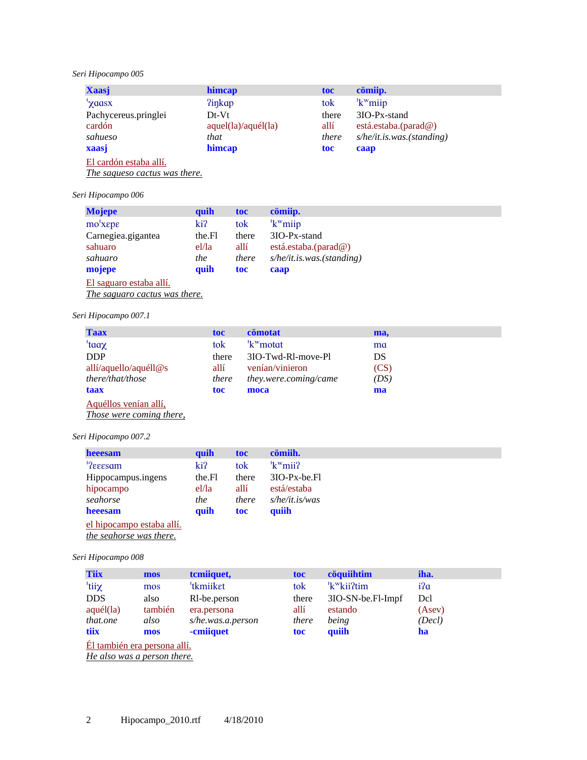# *Seri Hipocampo 005*

| <b>Xaasj</b>         | himcap              | toc   | cömiip.                    |
|----------------------|---------------------|-------|----------------------------|
| 'yaasx               | <b>?inkap</b>       | tok   | $k^w$ miip                 |
| Pachycereus.pringlei | $Dt-Vt$             | there | 3IO-Px-stand               |
| cardón               | aquel(la)/aquel(la) | allí  | está. estaba. (parad $@$ ) |
| sahueso              | that                | there | s/he/it.is.was.(standing)  |
| xaasj                | himcap              | toc   | caap                       |
| ____<br>.            |                     |       |                            |

El cardón estaba allí.

*The sagueso cactus was there.*

# *Seri Hipocampo 006*

| <b>Mojepe</b>                                                                                                                                                                                                                                                                  | quih   | toc   | cömiip.                                    |
|--------------------------------------------------------------------------------------------------------------------------------------------------------------------------------------------------------------------------------------------------------------------------------|--------|-------|--------------------------------------------|
| $mo1 \times epe$                                                                                                                                                                                                                                                               | ki?    | tok   | $k^{\mathrm{w}}$ miip                      |
| Carnegiea.gigantea                                                                                                                                                                                                                                                             | the.Fl | there | 3IO-Px-stand                               |
| sahuaro                                                                                                                                                                                                                                                                        | el/la  | allí  | está.estaba. $(\text{parad}\,\mathcal{Q})$ |
| sahuaro                                                                                                                                                                                                                                                                        | the    | there | s/he/it.is.was.(standing)                  |
| mojepe                                                                                                                                                                                                                                                                         | quih   | toc   | caap                                       |
| El saguaro estaba allí.                                                                                                                                                                                                                                                        |        |       |                                            |
| $\tau$ and the set of $\tau$ and $\tau$ and $\tau$ and $\tau$ and $\tau$ and $\tau$ and $\tau$ and $\tau$ and $\tau$ and $\tau$ and $\tau$ and $\tau$ and $\tau$ and $\tau$ and $\tau$ and $\tau$ and $\tau$ and $\tau$ and $\tau$ and $\tau$ and $\tau$ and $\tau$ and $\tau$ |        |       |                                            |

*The saguaro cactus was there.*

## *Seri Hipocampo 007.1*

| <b>Taax</b>              | toc   | cömotat               | ma,  |
|--------------------------|-------|-----------------------|------|
| 'taaχ                    | tok   | $k^w$ motat           | ma   |
| <b>DDP</b>               | there | 3IO-Twd-RI-move-Pl    | DS   |
| allí/aquello/aquéll $@s$ | allí  | venían/vinieron       | (CS) |
| there/that/those         | there | they.were.coming/came | (DS) |
| taax                     | toc   | moca                  | ma   |
| Aquéllos venían allí,    |       |                       |      |
| Those were coming there, |       |                       |      |

# *Seri Hipocampo 007.2*

| heeesam                   | quih   | toc   | cömiih.           |
|---------------------------|--------|-------|-------------------|
| <sup>1</sup> ?eeesam      | ki?    | tok   | $k^w$ mii?        |
| Hippocampus.ingens        | the.Fl | there | $3IO-Px-be.H$     |
| hipocampo                 | el/la  | allí  | está/estaba       |
| seahorse                  | the    | there | $s$ /he/it.is/was |
| heeesam                   | quih   | toc   | quiih             |
| el hipocampo estaba allí. |        |       |                   |
| the seahorse was there.   |        |       |                   |

*Seri Hipocampo 008* 

| <b>Tiix</b> | mos                          | temiiquet,                | toc   | cöquiihtim                          | iha.   |
|-------------|------------------------------|---------------------------|-------|-------------------------------------|--------|
| 'tiiχ       | mos                          | <sup>'</sup> tkmiiket     | tok   | <sup>'</sup> k <sup>w</sup> kii?tim | i?a    |
| <b>DDS</b>  | also                         | R <sub>1</sub> -be.person | there | 3IO-SN-be.Fl-Impf                   | Dcl    |
| aquél (la)  | también                      | era.persona               | allí  | estando                             | (Asev) |
| that.one    | also                         | $s$ /he.was.a.person      | there | being                               | (Decl) |
| tiix        | mos                          | -cmiiquet                 | toc   | quiih                               | ha     |
|             | Él también era persona allí. |                           |       |                                     |        |

*He also was a person there.*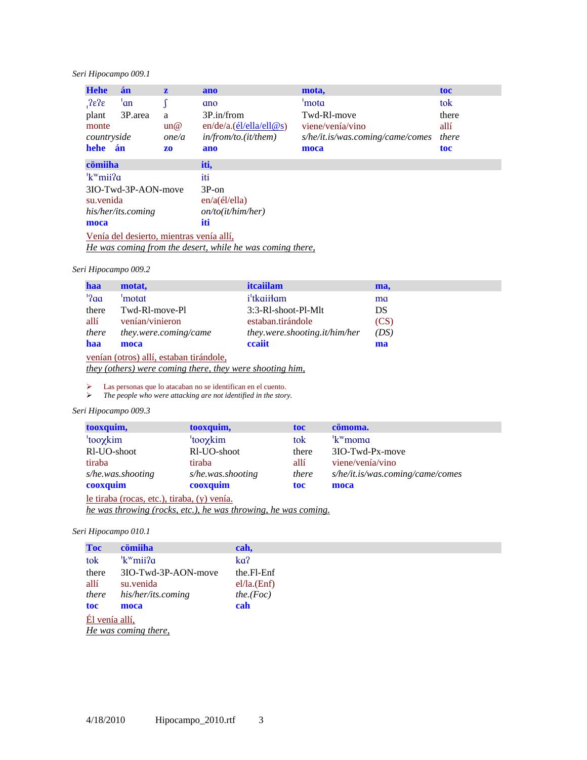## *Seri Hipocampo 009.1*

| <b>Hehe</b>                  | án                                       | $\mathbf{z}$ | ano                                                       | mota,                            | toc   |  |  |  |  |
|------------------------------|------------------------------------------|--------------|-----------------------------------------------------------|----------------------------------|-------|--|--|--|--|
| $.2$ <sub>6</sub> $\epsilon$ | 'an                                      |              | ano                                                       | 'mota                            | tok   |  |  |  |  |
| plant                        | 3P.area                                  | a            | 3P.in/from                                                | Twd-R <sub>1</sub> -move         | there |  |  |  |  |
| monte                        |                                          | un@          | en/de/a.(el/ella/ell@s)                                   | viene/venía/vino                 | allí  |  |  |  |  |
| countryside                  |                                          | one/a        | in/from/to.(it/them)                                      | s/he/it.is/was.coming/came/comes | there |  |  |  |  |
| hehe án                      |                                          | ZO-          | ano                                                       | moca                             | toc   |  |  |  |  |
| cömiiha                      |                                          |              | iti,                                                      |                                  |       |  |  |  |  |
| 'k <sup>w</sup> mii?a        |                                          |              | iti                                                       |                                  |       |  |  |  |  |
|                              | 3IO-Twd-3P-AON-move                      |              | $3P$ -on                                                  |                                  |       |  |  |  |  |
| su venida                    |                                          |              | en/a(él/ella)                                             |                                  |       |  |  |  |  |
|                              | his/her/its.coming                       |              | on/to(it/him/her)                                         |                                  |       |  |  |  |  |
| iti<br>moca                  |                                          |              |                                                           |                                  |       |  |  |  |  |
|                              | Venía del desierto, mientras venía allí, |              |                                                           |                                  |       |  |  |  |  |
|                              |                                          |              | He was coming from the desert, while he was coming there, |                                  |       |  |  |  |  |

*Seri Hipocampo 009.2* 

| haa                    | motat,                                  | <i>itcaillam</i>              | ma,  |
|------------------------|-----------------------------------------|-------------------------------|------|
| $^{\prime}$ ? $\alpha$ | 'motat                                  | <i>i</i> <sup>t</sup> kaiiłam | ma   |
| there                  | Twd-RI-move-Pl                          | 3:3-RI-shoot-PI-MIt           | DS   |
| allí                   | venían/vinieron                         | estaban.tirándole             | (CS) |
| there                  | they.were.coming/came                   | they.were.shooting.it/him/her | (DS) |
| haa                    | moca                                    | ceaiit                        | ma   |
|                        | venían (otros) allí, estaban tirándole, |                               |      |

*they (others) were coming there, they were shooting him,*

ightharpoont a Las personas que lo atacaban no se identifican en el cuento.<br>  $\triangleright$  The people who were attacking are not identified in the stor

¾ *The people who were attacking are not identified in the story.* 

## *Seri Hipocampo 009.3*

| tooxquim,            | tooxquim,            | toc   | cömoma.                          |
|----------------------|----------------------|-------|----------------------------------|
| <sup>'</sup> tooγkim | <sup>'</sup> tooγkim | tok   | <sup>'</sup> k <sup>w</sup> moma |
| Rl-UO-shoot          | RI-UO-shoot          | there | 3IO-Twd-Px-move                  |
| tiraba               | tiraba               | allí  | viene/venía/vino                 |
| s/he.was.shooting    | s/he.was.shooting    | there | s/he/it.is/was.coming/came/comes |
| cooxquim             | cooxquim             | toc   | moca                             |
|                      |                      |       |                                  |

le tiraba (rocas, etc.), tiraba, (y) venía.

*he was throwing (rocks, etc.), he was throwing, he was coming.*

#### *Seri Hipocampo 010.1*

| <b>Toc</b>     | cömiiha                     | cah,        |
|----------------|-----------------------------|-------------|
| tok            | $\kappa$ <sup>w</sup> mii?a | ka?         |
| there          | 3IO-Twd-3P-AON-move         | the Fl-Enf  |
| allí           | su venida                   | el/la.(Enf) |
| there          | his/her/its.coming          | the.Foc)    |
| toc            | moca                        | cah         |
| Él venía allí, |                             |             |

*He was coming there,*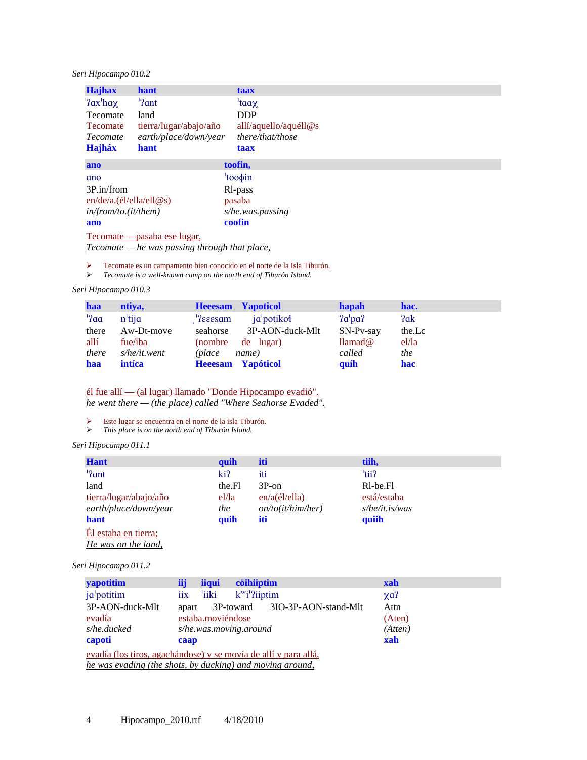# *Seri Hipocampo 010.2*

| <b>Hajhax</b>                            | hant                                                 | taax                  |
|------------------------------------------|------------------------------------------------------|-----------------------|
| $2ax'$ ha $\chi$                         | $\frac{1}{2}$ ant                                    | 'taax                 |
| <b>Tecomate</b>                          | land                                                 | <b>DDP</b>            |
| <b>Tecomate</b>                          | tierra/lugar/abajo/año                               | allí/aquello/aquéll@s |
| earth/place/down/year<br><i>Tecomate</i> |                                                      | there/that/those      |
| <b>Hajháx</b>                            | hant                                                 | taax                  |
| ano                                      |                                                      | toofin,               |
| ano                                      |                                                      | $'too\phi$ in         |
| 3P.in/from                               |                                                      | R <sub>l</sub> -pass  |
| en/de/a.(el/ella/ell@s)                  |                                                      | pasaba                |
| in/from/to.(it/them)                     |                                                      | s/he.was.passing      |
| ano                                      |                                                      | coofin                |
|                                          | Tecomate — pasaba ese lugar,                         |                       |
|                                          | <u>Tecomate</u> — he was passing through that place, |                       |

 $\ge$  Tecomate es un campamento bien conocido en el norte de la Isla Tiburón.<br> $\ge$  Tecomate is a well-known camp on the north end of Tiburón Island.

¾ *Tecomate is a well-known camp on the north end of Tiburón Island.* 

## *Seri Hipocampo 010.3*

| haa     | ntiva,                | <b>Heeesam Yapoticol</b> |                 | hapah       | hac.   |
|---------|-----------------------|--------------------------|-----------------|-------------|--------|
| $'$ ?aa | $n$ <sup>'</sup> tija | $\textdegree$            | ja potikoł      | 2a'pa?      | ?ak    |
| there   | Aw-Dt-move            | seahorse                 | 3P-AON-duck-Mlt | $SN-Pv-sav$ | the.Lc |
| allí    | fue/iba               | (nombre de lugar)        |                 | llamad@     | el/la  |
| there   | s/he/it.went          | (place                   | name)           | called      | the    |
| haa     | <i>intíca</i>         | <b>Heeesam Yapóticol</b> |                 | quíh        | hac    |

él fue allí — (al lugar) llamado "Donde Hipocampo evadió". *he went there — (the place) called "Where Seahorse Evaded".*

¾ Este lugar se encuentra en el norte de la isla Tiburón.

¾ *This place is on the north end of Tiburón Island.* 

#### *Seri Hipocampo 011.1*

| <b>Hant</b>            | quih   | iti               | tiih,                             |
|------------------------|--------|-------------------|-----------------------------------|
| '?ant                  | ki?    | iti               | 'tii?                             |
| land                   | the.Fl | $3P$ -on          | R <sub>1</sub> -be <sub>-F1</sub> |
| tierra/lugar/abajo/año | el/la  | en/a(él/ell)      | está/estaba                       |
| earth/place/down/year  | the    | on/to(it/him/her) | $s$ /he/it.is/was                 |
| hant                   | quih   | iti               | quiih                             |
| Él estaba en tierra;   |        |                   |                                   |
| He was on the land,    |        |                   |                                   |

## *Seri Hipocampo 011.2*

| <b>yapotitim</b>                                                | iij<br><b>iiqui</b> | cöihiiptim                             | xah        |  |  |  |
|-----------------------------------------------------------------|---------------------|----------------------------------------|------------|--|--|--|
| ja potitim                                                      | 'iiki<br>iix        | $k^{\mathrm{w}}i^{\mathrm{i}}$ ?iiptim | $\chi a$ ? |  |  |  |
| 3P-AON-duck-Mlt                                                 | apart               | 3P-toward 3IO-3P-AON-stand-Mlt         | Attn       |  |  |  |
| evadía                                                          | estaba.moviéndose   |                                        | (Aten)     |  |  |  |
| s/he.ducked                                                     |                     | s/he.was.moving.around                 | (Atten)    |  |  |  |
| capoti                                                          | caap                |                                        | xah        |  |  |  |
| evadía (los tiros, agachándose) y se movía de allí y para allá, |                     |                                        |            |  |  |  |
| he was evading (the shots, by ducking) and moving around,       |                     |                                        |            |  |  |  |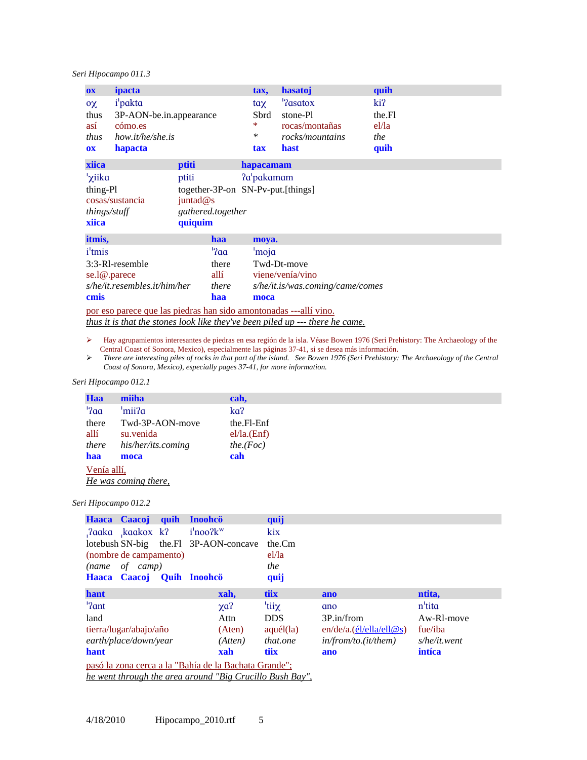## *Seri Hipocampo 011.3*

| $\mathbf{0}$ <b>X</b>                                    | ipacta                                                                                           |                                                         | tax.                                  | hasatoj                                                             | quih                                  |  |
|----------------------------------------------------------|--------------------------------------------------------------------------------------------------|---------------------------------------------------------|---------------------------------------|---------------------------------------------------------------------|---------------------------------------|--|
| $\alpha$<br>thus<br>así<br>thus<br><b>OX</b>             | <i>i</i> <sup>l</sup> pakta<br>3P-AON-be.in.appearance<br>cómo.es<br>how.it/he/she.is<br>hapacta |                                                         | $\text{tax}$<br>Sbrd<br>∗<br>∗<br>tax | '?asatox<br>stone-Pl<br>rocas/montañas<br>rocks/mountains<br>hast   | ki?<br>the.Fl<br>el/la<br>the<br>quih |  |
| xiica                                                    |                                                                                                  | ptiti                                                   | hapacamam                             |                                                                     |                                       |  |
| ' <sub>X</sub> iika<br>thing-Pl<br>things/stuff<br>xiica | cosas/sustancia                                                                                  | ptiti<br>juntad $@s$<br>gathered.together<br>quiquim    |                                       | ?a'pakamam<br>together-3P-on SN-Pv-put.[things]                     |                                       |  |
| itmis,                                                   |                                                                                                  | <b>haa</b>                                              | moya.                                 |                                                                     |                                       |  |
| <i>i</i> <sup>t</sup> mis<br>se.l@.parece<br>cmis        | 3:3-RI-resemble<br>s/he/it.resembles.it/him/her                                                  | $^{\prime}$ ? $\alpha$<br>there<br>allí<br>there<br>haa | 'moja<br>moca                         | Twd-Dt-move<br>viene/venía/vino<br>s/he/it.is/was.coming/came/comes |                                       |  |
|                                                          |                                                                                                  |                                                         |                                       | por eso parece que las piedras han sido amontonadas ---allí vino.   |                                       |  |

*thus it is that the stones look like they've been piled up --- there he came.*

- ¾ Hay agrupamientos interesantes de piedras en esa región de la isla. Véase Bowen 1976 (Seri Prehistory: The Archaeology of the Central Coast of Sonora, Mexico), especialmente las páginas 37-41, si se desea más información.
- ¾ *There are interesting piles of rocks in that part of the island. See Bowen 1976 (Seri Prehistory: The Archaeology of the Central Coast of Sonora, Mexico), especially pages 37-41, for more information.*

#### *Seri Hipocampo 012.1*

| Haa                    | miiha              | cah,        |  |
|------------------------|--------------------|-------------|--|
| $^{\prime}$ ? $\alpha$ | 'mii?a             | ka?         |  |
| there                  | Twd-3P-AON-move    | the Fl-Enf  |  |
| allí                   | su venida          | el/la.(Enf) |  |
| there                  | his/her/its.coming | the.Foc)    |  |
| haa                    | moca               | cah         |  |
| Venía allí,            |                    |             |  |

*He was coming there,*

#### *Seri Hipocampo 012.2*

|       | Haaca Caacoj quih      | Inoohcö                                               | quij              |                         |                         |
|-------|------------------------|-------------------------------------------------------|-------------------|-------------------------|-------------------------|
|       | Paaka kaakox k?        | $i'$ noo? $k^w$                                       | kix               |                         |                         |
|       |                        | lotebush SN-big the Fl 3P-AON-concave                 | the.Cm            |                         |                         |
|       | (nombre de campamento) |                                                       | el/la             |                         |                         |
|       | $(name \ of \ camp)$   |                                                       | the               |                         |                         |
|       |                        | Haaca Caacoj Quih Inoohcö                             | quij              |                         |                         |
| hant  |                        | xah,                                                  | tiix              | ano                     | ntita,                  |
| '?ant |                        | $\chi$ a?                                             | tiiχ <sup>'</sup> | ano                     | n'tita                  |
| land  |                        | Attn                                                  | <b>DDS</b>        | 3P.in/from              | Aw-R <sub>l</sub> -move |
|       | tierra/lugar/abajo/año | (Aten)                                                | $aqu\'el$ $(la)$  | en/de/a.(el/ella/ell@s) | fue/iba                 |
|       | earth/place/down/year  | (Atten)                                               | that.one          | in/from/to.(it/them)    | $s$ /he/it.went         |
| hant  |                        | xah                                                   | tiix              | ano                     | intíca                  |
|       |                        | pasó la zona cerca a la "Bahía de la Bachata Grande"; |                   |                         |                         |

*he went through the area around "Big Crucillo Bush Bay",*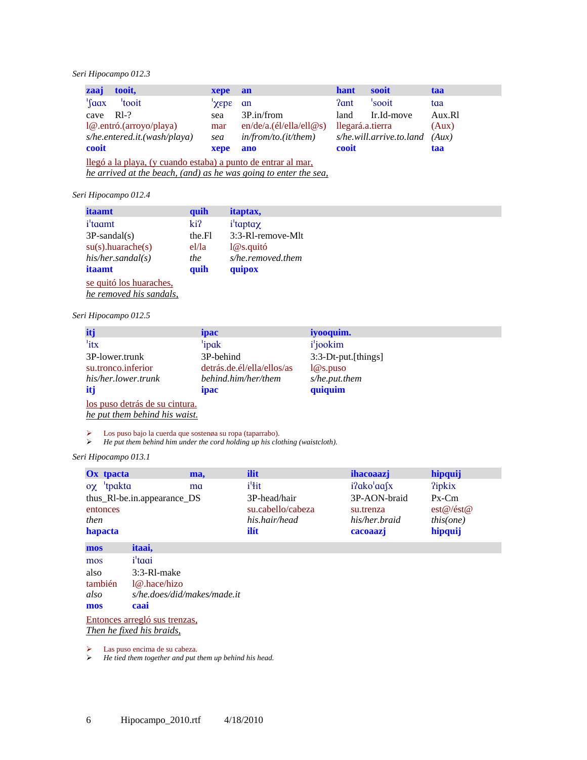## *Seri Hipocampo 012.3*

| zaaj  | tooit.                                                        | xepe an |                         | hant             | sooit                    | taa    |  |
|-------|---------------------------------------------------------------|---------|-------------------------|------------------|--------------------------|--------|--|
|       | 'tooit                                                        | 3GBY'   | <b>an</b>               | ?ant             | 'sooit                   | taa    |  |
| cave  | $R1-?$                                                        | sea     | 3P.in/from              | land             | Ir.Id-move               | Aux.R1 |  |
|       | $1@.$ entró.(arroyo/playa)                                    | mar     | en/de/a.(el/ella/ell@s) | llegará.a.tierra |                          | (Aux)  |  |
|       | s/he.entered.it.(wash/playa)                                  | sea     | in/from/to.(it/them)    |                  | s/he.will.arrive.to.land | (Aux)  |  |
| cooit |                                                               | xepe    | ano                     | cooit            |                          | taa    |  |
|       | llegó a la playa, (y cuando estaba) a punto de entrar al mar, |         |                         |                  |                          |        |  |

*he arrived at the beach, (and) as he was going to enter the sea,*

## *Seri Hipocampo 012.4*

| <i>itaamt</i>                | quih   | <i>itaptax,</i>   |
|------------------------------|--------|-------------------|
| <i>i</i> <sup>t</sup> a tamb | ki?    | $i'$ tapta $\chi$ |
| $3P$ -sandal(s)              | the.Fl | 3:3-R1-remove-Mlt |
| $su(s)$ .huarache $(s)$      | el/la  | $1@s.$ quitó      |
| his/her.s and al(s)          | the    | s/he.removed.them |
| itaamt                       | quih   | quipox            |
| se quitó los huaraches,      |        |                   |
| he removed his sandals,      |        |                   |

#### *Seri Hipocampo 012.5*

| itj                                                             | <i>ipac</i>                | iyooquim.                    |
|-----------------------------------------------------------------|----------------------------|------------------------------|
| 'itx                                                            | 'ipak                      | <i>i</i> <sup>'</sup> jookim |
| 3P-lower.trunk                                                  | 3P-behind                  | 3:3-Dt-put.[things]          |
| su.tronco.inferior                                              | detrás.de.él/ella/ellos/as | $1@$ s.puso                  |
| his/her.lower.trunk                                             | behind.him/her/them        | s/he.put.them                |
| itj                                                             | <i>ipac</i>                | quiquim                      |
| los puso detrás de su cintura.<br>he put them behind his waist. |                            |                              |

ighta Los puso bajo la cuerda que sostenøa su ropa (taparrabo).<br>  $\blacktriangleright$  He put them behind him under the cord holding up his clo

¾ *He put them behind him under the cord holding up his clothing (waistcloth).* 

## *Seri Hipocampo 013.1*

| Ox tpacta            |                                                                                                                 | ma, | ilit                     | <i>ihacoaazj</i>     | hipquij       |
|----------------------|-----------------------------------------------------------------------------------------------------------------|-----|--------------------------|----------------------|---------------|
| $\alpha \chi$ tpakta |                                                                                                                 | ma  | <i>i</i> <sup>'</sup> it | $i$ ?ako'aa $\int x$ | <b>?ipkix</b> |
|                      | thus_RI-be.in.appearance_DS                                                                                     |     | 3P-head/hair             | 3P-AON-braid         | $Px$ -Cm      |
| entonces             |                                                                                                                 |     | su.cabello/cabeza        | su.trenza            | est@/est@     |
| then                 |                                                                                                                 |     | his.hair/head            | his/her.braid        | this (one)    |
| hapacta              |                                                                                                                 |     | ilít                     | cacoaazj             | hipquij       |
| mos                  | <i>itaai</i> ,                                                                                                  |     |                          |                      |               |
|                      | and the state of the state of the state of the state of the state of the state of the state of the state of the |     |                          |                      |               |

| mos                       | i'taai                        |  |  |  |
|---------------------------|-------------------------------|--|--|--|
| also                      | 3:3-R1-make                   |  |  |  |
| también                   | 1@ hace/hizo                  |  |  |  |
| also                      | s/he.does/did/makes/made.it   |  |  |  |
| mos                       | caai                          |  |  |  |
|                           | Entonces arregló sus trenzas, |  |  |  |
| Then he fixed his braids, |                               |  |  |  |

 $\geq$  Las puso encima de su cabeza.<br> $\geq$  He tied them together and put to ¾ *He tied them together and put them up behind his head.*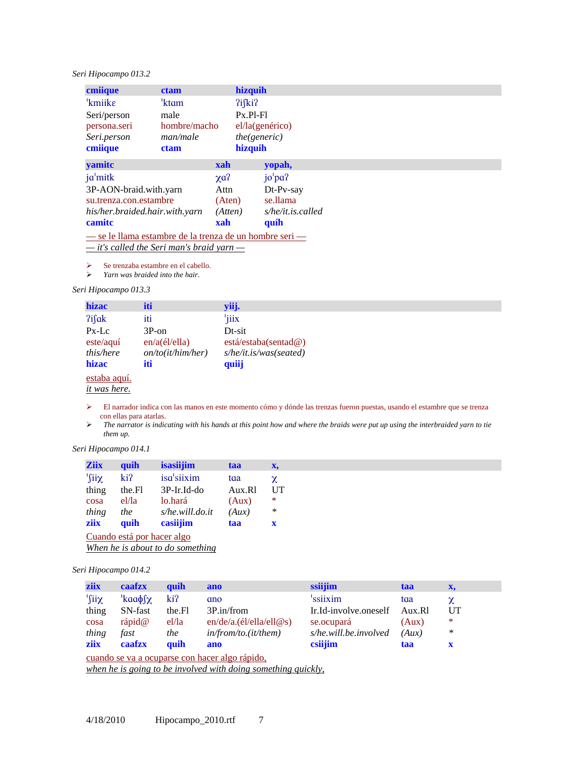# *Seri Hipocampo 013.2*

| cmiique                                                 | <b>ctam</b>  | hizquih      |                      |  |
|---------------------------------------------------------|--------------|--------------|----------------------|--|
| 'kmiike                                                 | 'ktam        | $2i$ fki $2$ |                      |  |
| Seri/person                                             | male         | $Px.P1-F1$   |                      |  |
| persona.seri                                            | hombre/macho |              | el/la(genérico)      |  |
| Seri.person                                             | man/male     |              | the (generic)        |  |
| cmiique                                                 | <b>ctam</b>  | hizquih      |                      |  |
| yamitc                                                  |              | xah          | yopah,               |  |
| ja'mitk                                                 |              | $\chi a$ ?   | jo <sup>1</sup> pa?  |  |
| 3P-AON-braid.with.yarn                                  |              | Attn         | Dt-Pv-say            |  |
| su.trenza.con.estambre                                  |              | (Aten)       | se.llama             |  |
| his/her.braided.hair.with.yarn                          |              | (Atten)      | $s$ /he/it.is.called |  |
| camite                                                  |              | xah          | quíh                 |  |
| — se le llama estambre de la trenza de un hombre seri — |              |              |                      |  |

*— it's called the Seri man's braid yarn —*

 $\triangleright$  Se trenzaba estambre en el cabello.<br> $\triangleright$  Yarn was braided into the hair.

¾ *Yarn was braided into the hair.* 

## *Seri Hipocampo 013.3*

| hizac                      | iti               | yiij.                  |
|----------------------------|-------------------|------------------------|
| ?ifak                      | iti               | 'jiix                  |
| $Px-Lc$                    | $3P$ -on          | Dt-sit                 |
| $\text{este}/\text{aq}$ uí | en/a(él/ella)     | está/estaba(sentad@)   |
| this/here                  | on/to(it/him/her) | s/he/it.is/was(seated) |
| hizac                      | iti               | quiij                  |
| estaba aquí.               |                   |                        |
| <i>it</i> was here.        |                   |                        |

- ¾ El narrador indica con las manos en este momento cómo y dónde las trenzas fueron puestas, usando el estambre que se trenza con ellas para atarlas.
- ¾ *The narrator is indicating with his hands at this point how and where the braids were put up using the interbraided yarn to tie them up.*

*Seri Hipocampo 014.1* 

| <b>Ziix</b>                | quih   | isasiijim       | taa    | X,          |  |  |  |
|----------------------------|--------|-----------------|--------|-------------|--|--|--|
| $\chi$ iil'                | ki?    | isa'siixim      | taa    | χ           |  |  |  |
| thing                      | the.Fl | 3P-Ir.Id-do     | Aux.R1 | UT          |  |  |  |
| cosa                       | el/la  | lo.hará         | (Aux)  | $\ast$      |  |  |  |
| thing                      | the    | s/he.will.do.it | (Aux)  | *           |  |  |  |
| ziix                       | quih   | casiijim        | taa    | $\mathbf x$ |  |  |  |
| Cuando está por hacer algo |        |                 |        |             |  |  |  |

*When he is about to do something*

*Seri Hipocampo 014.2* 

| ziix  | caafzx                                         | quih                                               | ano                     | ssiijim               | taa    | X,     |  |  |
|-------|------------------------------------------------|----------------------------------------------------|-------------------------|-----------------------|--------|--------|--|--|
| '∫iiχ | $'$ kaa $\phi$ f $\chi$                        | ki?                                                | ano                     | 'ssiixim              | taa    | χ      |  |  |
| thing | SN-fast                                        | the.Fl                                             | 3P.in/from              | Ir.Id-involve.oneself | Aux.R1 | UT     |  |  |
| cosa  | rápid@                                         | el/la                                              | en/de/a.(el/ella/ell@s) | se.ocupará            | (Aux)  | $\ast$ |  |  |
| thing | fast                                           | the                                                | in/from/to.(it/them)    | s/he.will.be.involved | (Aux)  | ∗      |  |  |
| ziix  | caafzx                                         | <b><i><u><u></u></u></i></b> <i><u></u><b></b></i> | ano                     | csiijim               | taa    | x      |  |  |
|       | cuando se va a ocuparse con hacer algo rápido. |                                                    |                         |                       |        |        |  |  |

*when he is going to be involved with doing something quickly,*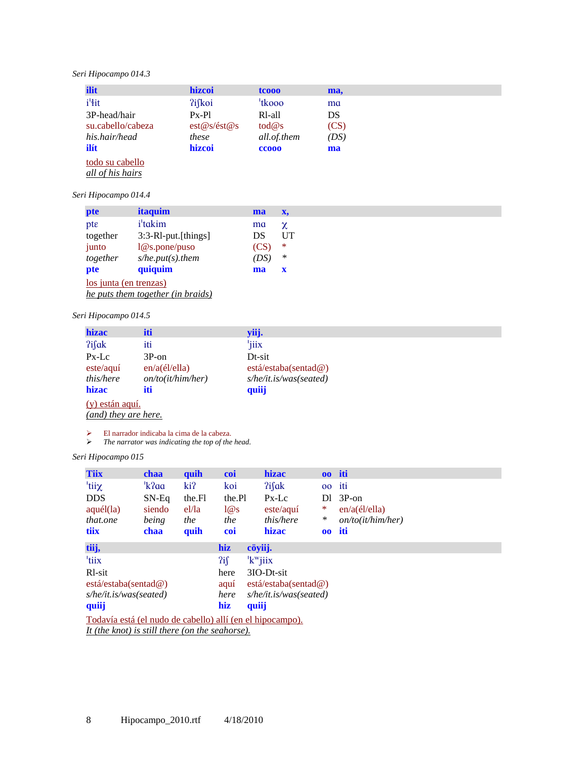# *Seri Hipocampo 014.3*

| ilit              | hizcoi      | tcooo               | ma,  |  |
|-------------------|-------------|---------------------|------|--|
| i <sup>'</sup> it | ?ifkoi      | <sup>'</sup> tkooo  | ma   |  |
| 3P-head/hair      | $Px-P1$     | R <sub>1</sub> -all | DS   |  |
| su.cabello/cabeza | est@s/ést@s | $\text{tod@s}$      | (CS) |  |
| his.hair/head     | these       | all.of.them         | (DS) |  |
| ilít              | hizcoi      | cco <sub>00</sub>   | ma   |  |
| todo su cabello   |             |                     |      |  |
| all of his hairs  |             |                     |      |  |

## *Seri Hipocampo 014.4*

| pte                      | <i>itaquim</i>             | ma   | X,           |
|--------------------------|----------------------------|------|--------------|
| $\mathsf{pt}\varepsilon$ | <i>i</i> <sup>t</sup> dkim | ma   | χ            |
| together                 | 3:3-RI-put.[things]        | DS   | UT           |
| junto                    | $1@$ s.pone/puso           | (CS) | ∗            |
| together                 | $s/he.put(s).$ them        | (DS) | $\ast$       |
| pte                      | quiquim                    | ma   | $\mathbf{x}$ |
| los junta (en trenzas)   |                            |      |              |

*he puts them together (in braids)*

# *Seri Hipocampo 014.5*

| hizac           | iti               | yiij.                  |  |
|-----------------|-------------------|------------------------|--|
| ?ifak           | iti               | 'jiix                  |  |
| $Px-Lc$         | $3P$ -on          | Dt-sit                 |  |
| este/aqu        | en/a(él/ella)     | está/estaba(sentad@)   |  |
| this/here       | on/to(it/him/her) | s/he/it.is/was(seated) |  |
| hizac           | iti               | quiij                  |  |
| (y) están aquí. |                   |                        |  |

*(and) they are here.*

¾ El narrador indicaba la cima de la cabeza.

¾ *The narrator was indicating the top of the head.* 

*Seri Hipocampo 015* 

| <b>Tiix</b>                                                      | <b>chaa</b>                                     | quih   | coi    | <b>hizac</b>           |        | 00 iti            |  |  |
|------------------------------------------------------------------|-------------------------------------------------|--------|--------|------------------------|--------|-------------------|--|--|
| 'tiiχ                                                            | 'k?aa                                           | ki?    | koi    | $2$ ifak               | $00\,$ | iti               |  |  |
| <b>DDS</b>                                                       | $SN-Eq$                                         | the Fl | the Pl | $Px-Lc$                | Dl     | $3P$ -on          |  |  |
| aquél (la)                                                       | siendo                                          | el/la  | 1@s    | $est$ e $/$ aguí       | *      | en/a(él/ella)     |  |  |
| that.one                                                         | being                                           | the    | the    | this/here              | $\ast$ | on/to(it/him/her) |  |  |
| tiix                                                             | chaa                                            | quih   | coi    | hizac                  |        | oo iti            |  |  |
| tiij,                                                            |                                                 |        | hiz    | cöyiij.                |        |                   |  |  |
| <sup>'</sup> tiix                                                |                                                 |        | 2if    | $k^{\mathrm{w}}$ jiix  |        |                   |  |  |
| R <sub>1</sub> -sit                                              |                                                 |        | here   | 3IO-Dt-sit             |        |                   |  |  |
| está/estaba(sentad@)                                             |                                                 |        | aquí   | está/estaba(sentad@)   |        |                   |  |  |
| s/he/it.is/was(seated)                                           |                                                 |        | here   | s/he/it.is/was(seated) |        |                   |  |  |
| quiij                                                            |                                                 |        | hiz    | quiij                  |        |                   |  |  |
| <u>Todavía está (el nudo de cabello) allí (en el hipocampo).</u> |                                                 |        |        |                        |        |                   |  |  |
|                                                                  | It (the knot) is still there (on the seahorse). |        |        |                        |        |                   |  |  |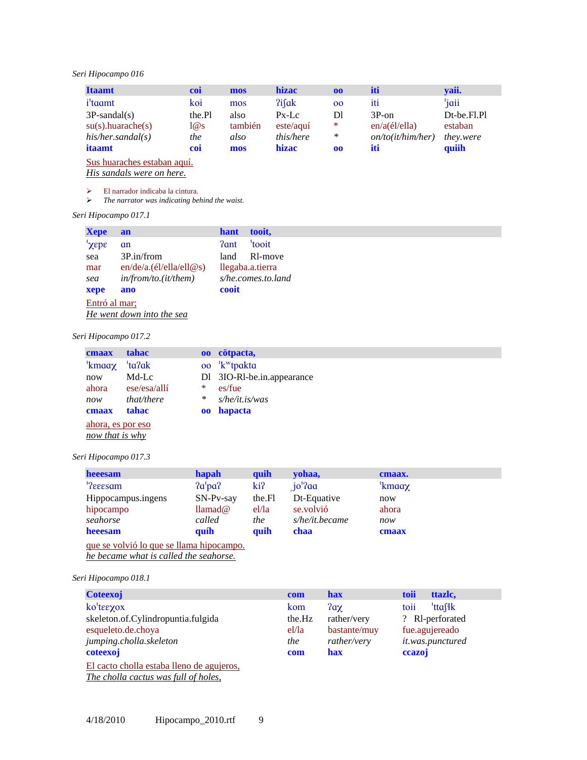# *Seri Hipocampo 016*

| <b>Itaamt</b>               | coi    | mos     | <b>hizac</b>     | 00     | iti               | yaii.            |
|-----------------------------|--------|---------|------------------|--------|-------------------|------------------|
| <i>i</i> <sup>t</sup> a dmt | koi    | mos     | ?ifak            | 00     | iti               | 'jaii            |
| $3P$ -sandal(s)             | the.Pl | also    | $Px-Lc$          | Dl     | $3P_{\rm o}$      | Dt-be.Fl.Pl      |
| $su(s)$ .huarache $(s)$     | 1@s    | también | $est$ e $/$ aguí | $\ast$ | en/a(él/ella)     | estaban          |
| his/her.sand all(s)         | the    | also    | this/here        | $\ast$ | on/to(it/him/her) | <i>they.were</i> |
| itaamt                      | coi    | mos     | hizac            | 00     | iti               | quiih            |

Sus huaraches estaban aquí.

*His sandals were on here.*

¾ El narrador indicaba la cintura.

¾ *The narrator was indicating behind the waist.* 

*Seri Hipocampo 017.1* 

| <b>Xepe</b>    | an                      | hant  | tooit,             |
|----------------|-------------------------|-------|--------------------|
| $'xep\epsilon$ | an                      | ?ant  | 'tooit             |
| sea            | 3P.in/from              | land  | Rl-move            |
| mar            | en/de/a.(el/ella/ell@s) |       | llegaba.a.tierra   |
| sea            | in/from/to.(it/them)    |       | s/he.comes.to.land |
| xepe           | ano                     | cooit |                    |
| Entró al mar;  |                         |       |                    |

*He went down into the sea*

## *Seri Hipocampo 017.2*

| cmaax                                | <b>tahac</b> |                 | 00 cötpacta,                       |  |  |
|--------------------------------------|--------------|-----------------|------------------------------------|--|--|
| <sup>'</sup> kmaaχ                   | 'ta?ak       | 00 <sup>°</sup> | <sup>'</sup> k <sup>w</sup> tpakta |  |  |
| now                                  | Md-Lc        |                 | D1 3IO-R1-be.in.appearance         |  |  |
| ahora                                | ese/esa/alli | *               | es/fue                             |  |  |
| now                                  | that/there   | ∗               | $s$ /he/it.is/was                  |  |  |
| cmaax                                | tahac        | 00              | hapacta                            |  |  |
| ahora, es por eso<br>now that is why |              |                 |                                    |  |  |

*Seri Hipocampo 017.3* 

| heeesam                                  | hapah                 | quih   | yohaa,            | cmaax. |
|------------------------------------------|-----------------------|--------|-------------------|--------|
| <sup>1</sup> ?eeesam                     | 2a'pa?                | ki?    | $io'$ ?aa         | 'kmaaχ |
| Hippocampus.ingens                       | $SN-Pv-say$           | the Fl | Dt-Equative       | now    |
| hipocampo                                | $\text{Ilamad}\omega$ | el/la  | se volvió         | ahora  |
| seahorse                                 | called                | the    | $s$ /he/it.became | now    |
| heeesam                                  | quíh                  | quih   | chaa              | cmaax  |
| que se volvió lo que se llama hipocampo. |                       |        |                   |        |

*he became what is called the seahorse.*

*Seri Hipocampo 018.1* 

| <b>Coteexoj</b>                                  | com    | <b>hax</b>   | toii<br>ttazlc,             |
|--------------------------------------------------|--------|--------------|-----------------------------|
| ko'tεεχοχ                                        | kom    | $2a\chi$     | <sup>'</sup> ttafik<br>toii |
| skeleton.of.Cylindropuntia.fulgida               | the.Hz | rather/very  | ? Rl-perforated             |
| esqueleto.de.choya                               | el/la  | bastante/muy | fue.agujereado              |
| jumping.cholla.skeleton                          | the    | rather/very  | it.was.punctured            |
| coteexoj                                         | com    | hax          | ccazoj                      |
| <u>El cacto cholla estaba lleno de agujeros,</u> |        |              |                             |
| The cholla cactus was full of holes,             |        |              |                             |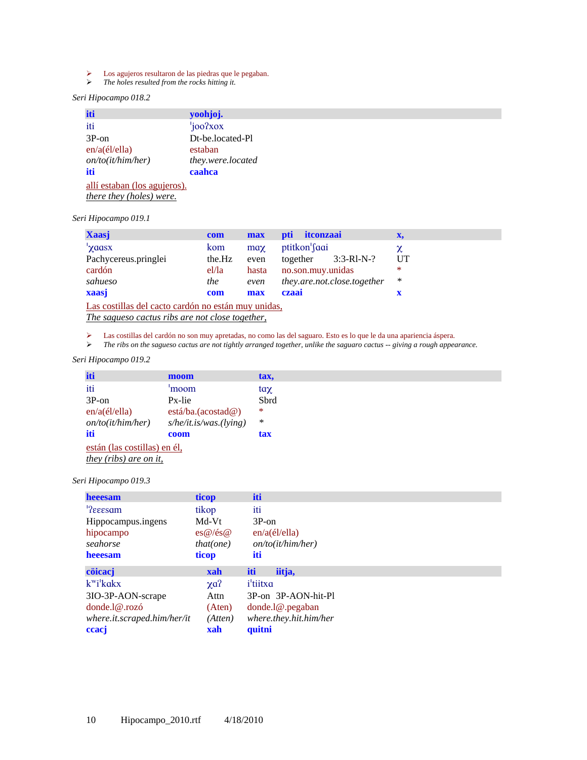- $\geq$  Los agujeros resultaron de las piedras que le pegaban.<br> $\geq$  The holes resulted from the rocks hitting it.
- ¾ *The holes resulted from the rocks hitting it.*

# *Seri Hipocampo 018.2*

| iti                             | yoohjoj.          |
|---------------------------------|-------------------|
| iti                             | 'joo?xox          |
| $3P$ -on                        | Dt-be.located-Pl  |
| en/a(él/ella)                   | estaban           |
| on/to(it/him/her)               | they.were.located |
| iti                             | caahca            |
| allí estaban (los agujeros).    |                   |
| <i>there they (holes) were.</i> |                   |

# *Seri Hipocampo 019.1*

| <b>Xaasj</b>         | com    | max          | <i>itconzaai</i><br><b>pti</b> | x,     |
|----------------------|--------|--------------|--------------------------------|--------|
| 'yaasx               | kom    | $\text{max}$ | ptitkon faqi                   |        |
| Pachycereus.pringlei | the.Hz | even         | $3:3-R1-N-?$<br>together       | UT     |
| cardón               | el/la  | hasta        | no.son.muy.unidas              | $\ast$ |
| sahueso              | the    | even         | they.are.not.close.together    | ∗      |
| xaasj                | com    | max          | czaai                          |        |

Las costillas del cacto cardón no están muy unidas, *The sagueso cactus ribs are not close together,*

ightarrow Las costillas del cardón no son muy apretadas, no como las del saguaro. Esto es lo que le da una apariencia áspera.<br>
The ribs on the sagueso cactus are not tightly arranged together, unlike the saguaro cactus --

¾ *The ribs on the sagueso cactus are not tightly arranged together, unlike the saguaro cactus -- giving a rough appearance.* 

### *Seri Hipocampo 019.2*

| iti                           | moom                   | tax.         |  |  |
|-------------------------------|------------------------|--------------|--|--|
| iti                           | 'moom                  | $\text{tan}$ |  |  |
| $3P$ -on                      | Px-lie                 | Sbrd         |  |  |
| $en/a$ (él/ella)              | está/ba.(acostad@)     | ∗            |  |  |
| on/to(it/him/her)             | s/he/it.is/was.(lying) | $\ast$       |  |  |
| iti                           | coom                   | tax          |  |  |
| están (las costillas) en él.  |                        |              |  |  |
| <i>they (ribs) are on it,</i> |                        |              |  |  |

#### *Seri Hipocampo 019.3*

| heeesam                             | ticop                       | iti                    |
|-------------------------------------|-----------------------------|------------------------|
| $'$ ?eeesam                         | tikop                       | iti                    |
| Hippocampus.ingens                  | Md-Vt                       | $3P$ -on               |
| hipocampo                           | $\cos(\omega)/\cos(\omega)$ | $en/a$ (él/ella)       |
| seahorse                            | that(one)                   | on/to(it/him/her)      |
| heeesam                             | ticop                       | iti                    |
| cöicacj                             | xah                         | iti<br>iitja,          |
| $k^{\mathrm{w}}i^{\mathrm{l}}k$ akx | $\chi$ a?                   | i <sup>'</sup> tiitxa  |
| 3IO-3P-AON-scrape                   | Attn                        | 3P-on 3P-AON-hit-Pl    |
| donde.1@.rozó                       | (Aten)                      | donde.1@.pegaban       |
| where.it.scraped.him/her/it         | (Atten)                     | where.they.hit.him/her |
| ceacj                               | xah                         | quitni                 |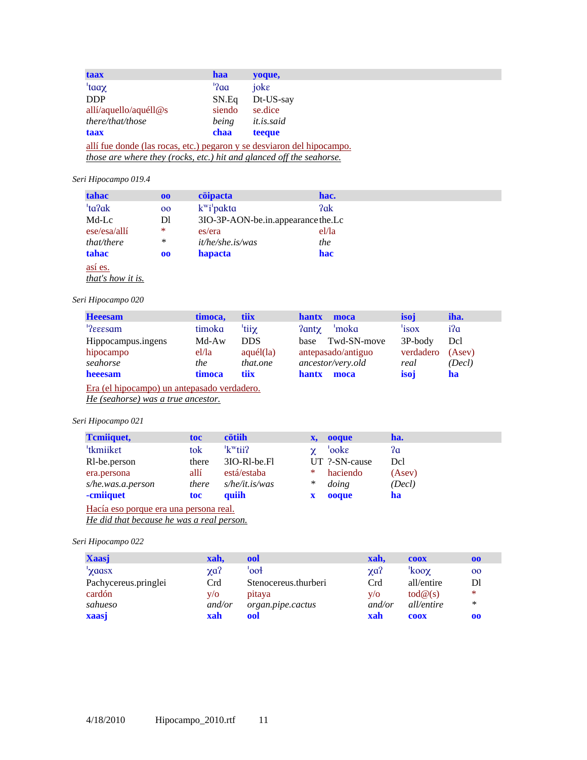| taax                                                                   | <b>haa</b>             | yoque,            |  |  |  |  |
|------------------------------------------------------------------------|------------------------|-------------------|--|--|--|--|
| 'taaχ                                                                  | $^{\prime}$ ? $\alpha$ | joke              |  |  |  |  |
| <b>DDP</b>                                                             | SN.Eq                  | Dt-US-say         |  |  |  |  |
| allí/aquello/aquéll@s                                                  | siendo                 | se.dice           |  |  |  |  |
| there/that/those                                                       | being                  | <i>it.is.said</i> |  |  |  |  |
| taax                                                                   | chaa                   | teeque            |  |  |  |  |
| allí fue donde (las rocas, etc.) pegaron y se desviaron del hipocampo. |                        |                   |  |  |  |  |
| those are where they (rocks, etc.) hit and glanced off the seahorse.   |                        |                   |  |  |  |  |

# *Seri Hipocampo 019.4*

| tahac        | 00 | cöipacta                             | hac.  |
|--------------|----|--------------------------------------|-------|
| 'ta?ak       | 00 | $k^{\mathrm{w}}i^{\mathrm{I}}$ pakta | ?ak   |
| Md-Lc        | Dl | 3IO-3P-AON-be.in.appearance the.Lc   |       |
| ese/esa/alli | *  | es/era                               | el/la |
| that/there   | ∗  | <i>it/he/she.is/was</i>              | the   |
| tahac        | 00 | hapacta                              | hac   |
| así es.      |    |                                      |       |

*that's how it is.*

# *Seri Hipocampo 020*

| <b>Heeesam</b>                              | timoca,    | tiix           | <b>hantx</b><br>moca    | isoj      | iha.   |
|---------------------------------------------|------------|----------------|-------------------------|-----------|--------|
| <sup>1</sup> ?eeesam                        | timoka     | 'tiiχ          | 'moka<br>$2$ ant $\chi$ | 'isox     | i?a    |
| Hippocampus.ingens                          | Md-Aw      | <b>DDS</b>     | Twd-SN-move<br>base     | $3P-body$ | Dcl    |
| hipocampo                                   | el/la      | $aqu\'el$ (la) | antepasado/antiguo      | verdadero | (Asev) |
| seahorse                                    | <i>the</i> | that.one       | ancestor/very.old       | real      | (Decl) |
| heeesam                                     | timoca     | <b>tiix</b>    | <b>hantx</b><br>moca    | isoi      | ha     |
| Era (el hipocampo) un antepasado verdadero. |            |                |                         |           |        |

*He (seahorse) was a true ancestor.*

# *Seri Hipocampo 021*

| <b>Temilguet,</b>                      | toc   | cötiih               | x, ooque          | ha.    |
|----------------------------------------|-------|----------------------|-------------------|--------|
| <sup>'</sup> tkmiiket                  | tok   | 'k <sup>w</sup> tii? | 'ooke<br>$\gamma$ | ?a     |
| R <sub>1</sub> -be.person              | there | 3IO-RI-be.Fl         | UT ?-SN-cause     | Del    |
| era.persona                            | allí  | está/estaba          | haciendo<br>$*$   | (Asev) |
| s/he.was.a.person                      | there | $s$ /he/it.is/was    | $\ast$<br>doing   | (Decl) |
| -cmiiquet                              | toc   | quiih                | ooque<br>X        | ha     |
| Hacía eso porque era una persona real. |       |                      |                   |        |

*He did that because he was a real person.*

# *Seri Hipocampo 022*

| <b>Xaasj</b>         | xah.       | ool                  | xah.       | <b>COOX</b>                | 00     |
|----------------------|------------|----------------------|------------|----------------------------|--------|
| 'χααsx               | $\chi a$ ? | 'ool                 | $\chi a$ ? | 'koo $\chi$                | 00     |
| Pachycereus.pringlei | Crd        | Stenocereus.thurberi | Crd        | all/entire                 | Dl     |
| cardón               | V/O        | pitaya               | V/O        | $\text{tod}\mathcal{Q}(s)$ | $*$    |
| sahueso              | and/or     | organ.pipe.cactus    | and/or     | all/entire                 | $\ast$ |
| xaasj                | xah        | ool                  | xah        | <b>COOX</b>                | 00     |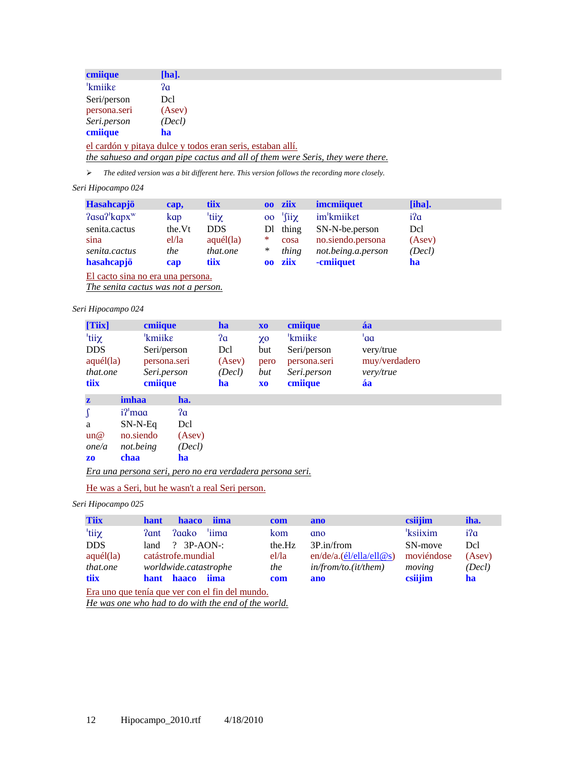| cmiique             | $[ha]$ .                                                                       |
|---------------------|--------------------------------------------------------------------------------|
| <sup>'</sup> kmiike | ?a                                                                             |
| Seri/person         | Dcl                                                                            |
| persona.seri        | (Asev)                                                                         |
| Seri.person         | (Decl)                                                                         |
| cmiique             | ha                                                                             |
|                     | el cardón y pitaya dulce y todos eran seris, estaban allí.                     |
|                     | the sahueso and organ pipe cactus and all of them were Seris, they were there. |

¾ *The edited version was a bit different here. This version follows the recording more closely.* 

## *Seri Hipocampo 024*

| <b>Hasahcapjö</b>            | cap,    | tiix       |                 | 00 ziix          | <i>imcmiiquet</i>  | $[iha]$ . |
|------------------------------|---------|------------|-----------------|------------------|--------------------|-----------|
| $2$ asa $2$ 'kapx $^{\rm w}$ | kap     | 'tiiχ      | 00 <sup>°</sup> | $^{\prime}$ fiix | im'kmiiket         | i?a       |
| senita.cactus                | the. Vt | <b>DDS</b> |                 | Dl thing         | SN-N-be.person     | Del       |
| sina                         | el/la   | aquél(la)  | ∗               | cosa             | no.siendo.persona  | (Asev)    |
| senita.cactus                | the     | that.one   | ∗               | thing            | not.being.a.person | (Decl)    |
| hasahcapjö                   | cap     | tiix       |                 | 00 ziix          | -cmiiquet          | ha        |

El cacto sina no era una persona.

*The senita cactus was not a person.*

## *Seri Hipocampo 024*

| [Tiix]            |                     | cmiique      |        | ha                                                        | X <sub>0</sub> | cmiique      | áa            |
|-------------------|---------------------|--------------|--------|-----------------------------------------------------------|----------------|--------------|---------------|
| tiiχ <sup>'</sup> |                     | 'kmiike      |        | ?a                                                        | $X_{0}$        | 'kmiike      | 'aa           |
| <b>DDS</b>        |                     | Seri/person  |        | Dcl                                                       | but            | Seri/person  | very/true     |
| $aqu\'el$ (la)    |                     | persona.seri |        | (Asev)                                                    | pero           | persona.seri | muy/verdadero |
| that.one          |                     | Seri.person  |        | (Decl)                                                    | but            | Seri.person  | very/true     |
| tiix              |                     | cmiique      |        | ha                                                        | X <sub>0</sub> | cmiique      | áa            |
| $\mathbf{z}$      | imhaa               |              | ha.    |                                                           |                |              |               |
| $\int$            | i? <sup>'</sup> maa |              | 2a     |                                                           |                |              |               |
| a                 | $SN-N-Eq$           |              | Dcl    |                                                           |                |              |               |
| un@               | no.siendo           |              | (Asev) |                                                           |                |              |               |
| one/a             | not.being           |              | (Decl) |                                                           |                |              |               |
| Z <sub>0</sub>    | chaa                |              | ha     |                                                           |                |              |               |
|                   |                     |              |        | Era una persona seri, pero no era verdadera persona seri. |                |              |               |

# He was a Seri, but he wasn't a real Seri person.

# *Seri Hipocampo 025*

| <b>Tiix</b> | <b>iima</b><br><b>hant</b><br><b>haaco</b>          | com    | ano                     | csiijim              | iha.   |
|-------------|-----------------------------------------------------|--------|-------------------------|----------------------|--------|
| 'tiiχ       | <b>?aako</b><br>'iima<br>?ant                       | kom    | ano                     | <sup>'</sup> ksiixim | i?a    |
| <b>DDS</b>  | $3P- AON-$<br>$\gamma$<br>land                      | the Hz | 3P.in/from              | SN-move              | Del    |
| aquél (la)  | catástrofe.mundial                                  | el/la  | en/de/a.(el/ella/ell@s) | moviéndose           | (Asev) |
| that.one    | worldwide.catastrophe                               | the    | in/from/to.(it/them)    | moving               | (Decl) |
| tiix        | hant haaco<br>iima                                  | com    | ano                     | csiijim              | ha     |
|             | Era uno que tenía que ver con el fin del mundo.     |        |                         |                      |        |
|             | He was one who had to do with the end of the world. |        |                         |                      |        |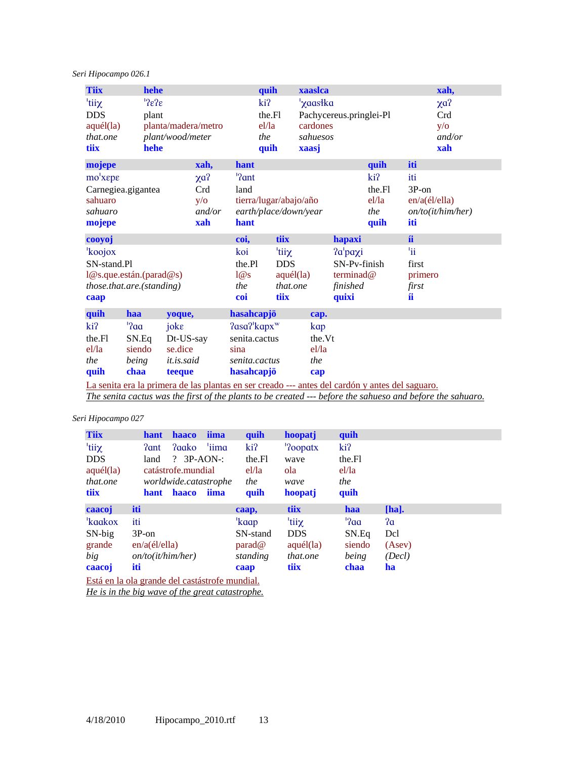*Seri Hipocampo 026.1* 

| <b>Tiix</b>               |                        | hehe                                                                                            |            |                       | quih                   | xaaslca  |                         |        |               | xah,              |
|---------------------------|------------------------|-------------------------------------------------------------------------------------------------|------------|-----------------------|------------------------|----------|-------------------------|--------|---------------|-------------------|
| 'tiiχ                     |                        | ${}^{1}$ ?e?e                                                                                   |            |                       | ki?                    | 'χaasłka |                         |        |               | $\chi a$ ?        |
| <b>DDS</b>                |                        | plant                                                                                           |            |                       | the.Fl                 |          | Pachycereus.pringlei-Pl |        |               | Crd               |
| aquél(la)                 |                        | planta/madera/metro                                                                             |            |                       | el/la                  | cardones |                         |        |               | $y/\sigma$        |
| that.one                  |                        | plant/wood/meter                                                                                |            |                       | the                    | sahuesos |                         |        |               | and/or            |
| tiix                      |                        | hehe                                                                                            |            |                       | quih                   | xaasj    |                         |        |               | xah               |
| mojepe                    |                        |                                                                                                 | xah,       | hant                  |                        |          |                         | quih   | iti           |                   |
| $mo'xep\epsilon$          |                        |                                                                                                 | $\chi a$ ? | '?ant                 |                        |          |                         | ki?    | iti           |                   |
| Carnegiea.gigantea        |                        |                                                                                                 | Crd        | land                  |                        |          |                         | the.Fl | $3P$ -on      |                   |
| sahuaro                   |                        |                                                                                                 | $y/\sigma$ |                       | tierra/lugar/abajo/año |          |                         | el/la  | en/a(él/ella) |                   |
| sahuaro                   |                        |                                                                                                 | and/or     |                       | earth/place/down/year  |          |                         | the    |               | on/to(it/him/her) |
| mojepe                    |                        |                                                                                                 | xah        | hant                  |                        |          |                         | quih   | iti           |                   |
| cooyoj                    |                        |                                                                                                 |            | coi,                  | tiix                   |          | hapaxi                  |        | íi            |                   |
| 'koojox                   |                        |                                                                                                 |            | koi                   | <sup>'</sup> tiiχ      |          | 2a'paxi                 |        | 'ii           |                   |
| SN-stand.Pl               |                        |                                                                                                 |            | the Pl                | <b>DDS</b>             |          | SN-Pv-finish            |        | first         |                   |
|                           |                        | 1@s.que. están. (parad@s)                                                                       |            | 1@s                   | $aqu\'el$ (la)         |          | terminad@               |        | primero       |                   |
| those.that.are.(standing) |                        |                                                                                                 |            | the                   | that.one               |          | finished                |        | first         |                   |
| caap                      |                        |                                                                                                 |            | coi                   | tiix                   |          | quixi                   |        | íi            |                   |
| quih                      | haa                    | yoque,                                                                                          |            | hasahcapjö            |                        | cap.     |                         |        |               |                   |
| ki?                       | $^{\prime}$ ? $\alpha$ | joke                                                                                            |            | $2$ asa $2$ 'kapx $w$ |                        | kap      |                         |        |               |                   |
| the Fl                    | SN.Eq                  | Dt-US-say                                                                                       |            | senita.cactus         |                        | the Vt   |                         |        |               |                   |
| el/la                     | siendo                 | se.dice                                                                                         |            | sina                  |                        | el/la    |                         |        |               |                   |
| the                       | being                  | <i>it.is.said</i>                                                                               |            | senita.cactus         |                        | the      |                         |        |               |                   |
| quih                      | chaa                   | teeque                                                                                          |            | hasahcapjö            |                        | cap      |                         |        |               |                   |
|                           |                        | La senita era la primera de las plantas en ser creado --- antes del cardón y antes del saguaro. |            |                       |                        |          |                         |        |               |                   |

*The senita cactus was the first of the plants to be created --- before the sahueso and before the sahuaro.*

*Seri Hipocampo 027* 

| <b>Tiix</b>                                    | <b>hant</b>       | <b>haaco</b>          | iima  | quih                   | hoopatj          | quih   |          |
|------------------------------------------------|-------------------|-----------------------|-------|------------------------|------------------|--------|----------|
| $\tau$ tii $\chi$                              | ?ant              | ?aako                 | 'iima | ki?                    | '?oopatx         | ki?    |          |
| <b>DDS</b>                                     | land              | $? 3P- AON-$          |       | the Fl                 | wave             | the Fl |          |
| $aqu\'el$ $(la)$                               |                   | catástrofe.mundial    |       | el/la                  | ola              | el/la  |          |
| that.one                                       |                   | worldwide.catastrophe |       | the                    | wave             | the    |          |
| <b>tiix</b>                                    | hant              | haaco                 | iima  | quih                   | hoopatj          | quih   |          |
| caacoj                                         | iti               |                       |       | caap,                  | tiix             | haa    | $[ha]$ . |
| 'kaakox                                        | iti               |                       |       | 'kaap                  | 'tiiχ            | '2aa   | ?a       |
| $SN-big$                                       | $3P$ -on          |                       |       | SN-stand               | <b>DDS</b>       | SN.Eq  | Dcl      |
| grande                                         | $en/a$ (él/ella)  |                       |       | $\text{parad}\,\omega$ | $aqu\'el$ $(la)$ | siendo | (Asev)   |
| big                                            | on/to(it/him/her) |                       |       | standing               | that.one         | being  | (Decl)   |
| caacoj                                         | iti               |                       |       | caap                   | <b>tiix</b>      | chaa   | ha       |
| Está en la ola grande del castástrofe mundial. |                   |                       |       |                        |                  |        |          |

*He is in the big wave of the great catastrophe.*